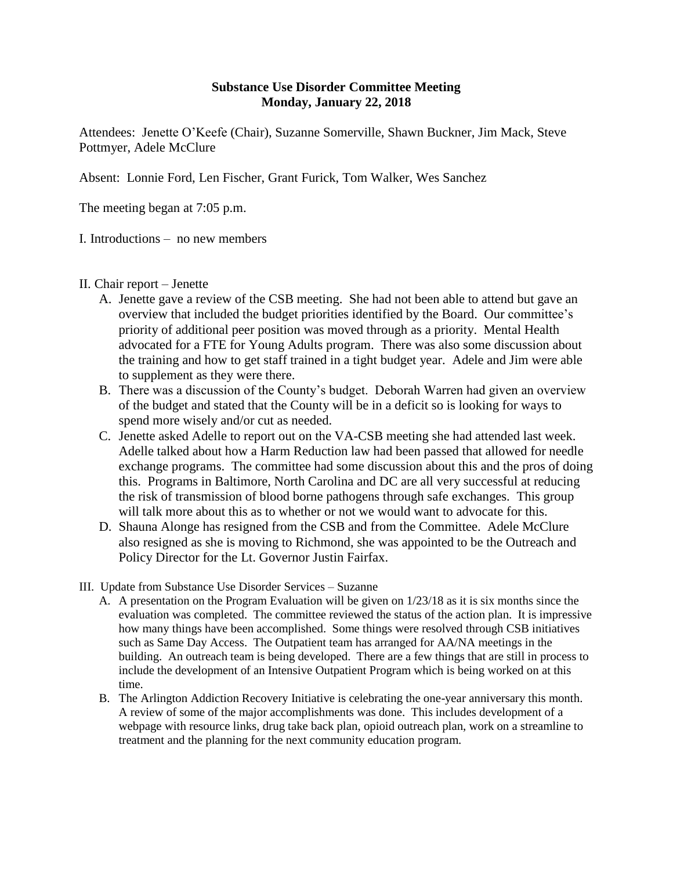## **Substance Use Disorder Committee Meeting Monday, January 22, 2018**

Attendees: Jenette O'Keefe (Chair), Suzanne Somerville, Shawn Buckner, Jim Mack, Steve Pottmyer, Adele McClure

Absent: Lonnie Ford, Len Fischer, Grant Furick, Tom Walker, Wes Sanchez

The meeting began at 7:05 p.m.

I. Introductions – no new members

- II. Chair report Jenette
	- A. Jenette gave a review of the CSB meeting. She had not been able to attend but gave an overview that included the budget priorities identified by the Board. Our committee's priority of additional peer position was moved through as a priority. Mental Health advocated for a FTE for Young Adults program. There was also some discussion about the training and how to get staff trained in a tight budget year. Adele and Jim were able to supplement as they were there.
	- B. There was a discussion of the County's budget. Deborah Warren had given an overview of the budget and stated that the County will be in a deficit so is looking for ways to spend more wisely and/or cut as needed.
	- C. Jenette asked Adelle to report out on the VA-CSB meeting she had attended last week. Adelle talked about how a Harm Reduction law had been passed that allowed for needle exchange programs. The committee had some discussion about this and the pros of doing this. Programs in Baltimore, North Carolina and DC are all very successful at reducing the risk of transmission of blood borne pathogens through safe exchanges. This group will talk more about this as to whether or not we would want to advocate for this.
	- D. Shauna Alonge has resigned from the CSB and from the Committee. Adele McClure also resigned as she is moving to Richmond, she was appointed to be the Outreach and Policy Director for the Lt. Governor Justin Fairfax.
- III. Update from Substance Use Disorder Services Suzanne
	- A. A presentation on the Program Evaluation will be given on 1/23/18 as it is six months since the evaluation was completed. The committee reviewed the status of the action plan. It is impressive how many things have been accomplished. Some things were resolved through CSB initiatives such as Same Day Access. The Outpatient team has arranged for AA/NA meetings in the building. An outreach team is being developed. There are a few things that are still in process to include the development of an Intensive Outpatient Program which is being worked on at this time.
	- B. The Arlington Addiction Recovery Initiative is celebrating the one-year anniversary this month. A review of some of the major accomplishments was done. This includes development of a webpage with resource links, drug take back plan, opioid outreach plan, work on a streamline to treatment and the planning for the next community education program.